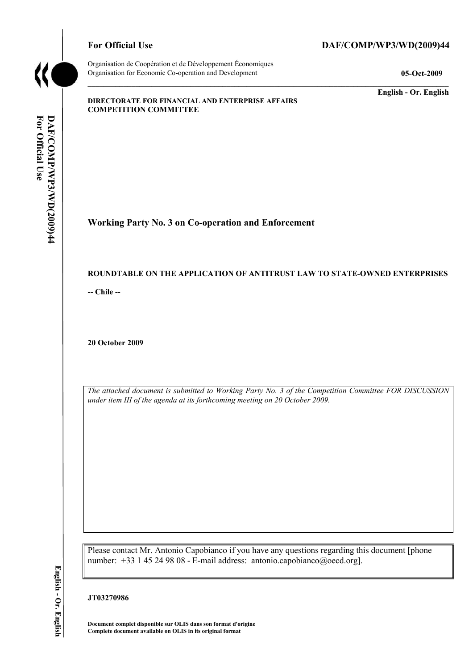

Organisation de Coopération et de Développement Économiques Organisation for Economic Co-operation and Development **05-Oct-2009** 

## For Official Use DAF/COMP/WP3/WD(2009)44

**English - Or. English** 

#### **DIRECTORATE FOR FINANCIAL AND ENTERPRISE AFFAIRS COMPETITION COMMITTEE**

# **Working Party No. 3 on Co-operation and Enforcement**

#### **ROUNDTABLE ON THE APPLICATION OF ANTITRUST LAW TO STATE-OWNED ENTERPRISES**

**-- Chile --** 

**20 October 2009** 

*The attached document is submitted to Working Party No. 3 of the Competition Committee FOR DISCUSSION under item III of the agenda at its forthcoming meeting on 20 October 2009.* 

Please contact Mr. Antonio Capobianco if you have any questions regarding this document [phone number: +33 1 45 24 98 08 - E-mail address: antonio.capobianco@oecd.org].

**JT03270986** 

**Document complet disponible sur OLIS dans son format d'origine Complete document available on OLIS in its original format**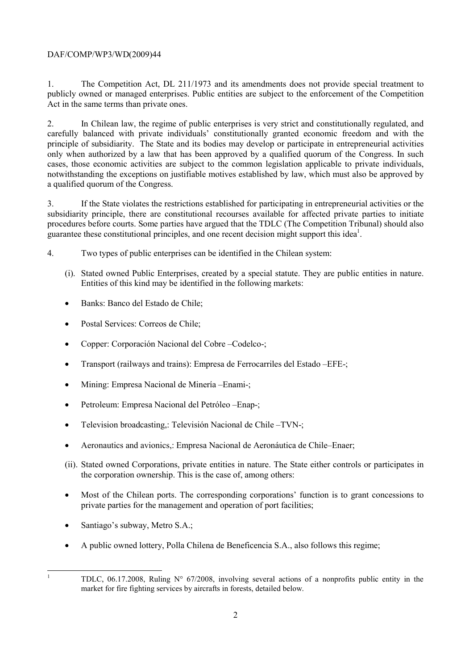## DAF/COMP/WP3/WD(2009)44

1. The Competition Act, DL 211/1973 and its amendments does not provide special treatment to publicly owned or managed enterprises. Public entities are subject to the enforcement of the Competition Act in the same terms than private ones.

2. In Chilean law, the regime of public enterprises is very strict and constitutionally regulated, and carefully balanced with private individuals' constitutionally granted economic freedom and with the principle of subsidiarity. The State and its bodies may develop or participate in entrepreneurial activities only when authorized by a law that has been approved by a qualified quorum of the Congress. In such cases, those economic activities are subject to the common legislation applicable to private individuals, notwithstanding the exceptions on justifiable motives established by law, which must also be approved by a qualified quorum of the Congress.

3. If the State violates the restrictions established for participating in entrepreneurial activities or the subsidiarity principle, there are constitutional recourses available for affected private parties to initiate procedures before courts. Some parties have argued that the TDLC (The Competition Tribunal) should also guarantee these constitutional principles, and one recent decision might support this idea<sup>1</sup>.

- 4. Two types of public enterprises can be identified in the Chilean system:
	- (i). Stated owned Public Enterprises, created by a special statute. They are public entities in nature. Entities of this kind may be identified in the following markets:
	- Banks: Banco del Estado de Chile;
	- Postal Services: Correos de Chile:
	- Copper: Corporación Nacional del Cobre –Codelco-;
	- Transport (railways and trains): Empresa de Ferrocarriles del Estado –EFE-;
	- Mining: Empresa Nacional de Minería –Enami-;
	- Petroleum: Empresa Nacional del Petróleo –Enap-;
	- Television broadcasting,: Televisión Nacional de Chile –TVN-;
	- Aeronautics and avionics,: Empresa Nacional de Aeronáutica de Chile–Enaer;
	- (ii). Stated owned Corporations, private entities in nature. The State either controls or participates in the corporation ownership. This is the case of, among others:
	- Most of the Chilean ports. The corresponding corporations' function is to grant concessions to private parties for the management and operation of port facilities;
	- Santiago's subway, Metro S.A.;
	- A public owned lottery, Polla Chilena de Beneficencia S.A., also follows this regime;

|<br>|<br>|

TDLC, 06.17.2008, Ruling N° 67/2008, involving several actions of a nonprofits public entity in the market for fire fighting services by aircrafts in forests, detailed below.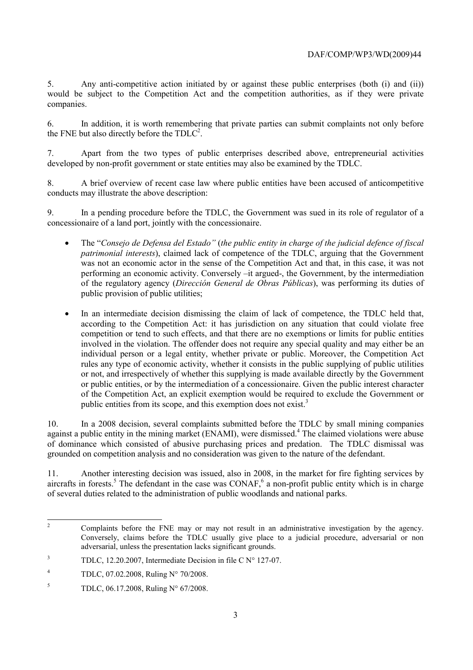5. Any anti-competitive action initiated by or against these public enterprises (both (i) and (ii)) would be subject to the Competition Act and the competition authorities, as if they were private companies.

6. In addition, it is worth remembering that private parties can submit complaints not only before the FNE but also directly before the  $TDLC<sup>2</sup>$ .

7. Apart from the two types of public enterprises described above, entrepreneurial activities developed by non-profit government or state entities may also be examined by the TDLC.

8. A brief overview of recent case law where public entities have been accused of anticompetitive conducts may illustrate the above description:

9. In a pending procedure before the TDLC, the Government was sued in its role of regulator of a concessionaire of a land port, jointly with the concessionaire.

- The "*Consejo de Defensa del Estado"* (*the public entity in charge of the judicial defence of fiscal patrimonial interests*), claimed lack of competence of the TDLC, arguing that the Government was not an economic actor in the sense of the Competition Act and that, in this case, it was not performing an economic activity. Conversely –it argued-, the Government, by the intermediation of the regulatory agency (*Dirección General de Obras Públicas*), was performing its duties of public provision of public utilities;
- In an intermediate decision dismissing the claim of lack of competence, the TDLC held that, according to the Competition Act: it has jurisdiction on any situation that could violate free competition or tend to such effects, and that there are no exemptions or limits for public entities involved in the violation. The offender does not require any special quality and may either be an individual person or a legal entity, whether private or public. Moreover, the Competition Act rules any type of economic activity, whether it consists in the public supplying of public utilities or not, and irrespectively of whether this supplying is made available directly by the Government or public entities, or by the intermediation of a concessionaire. Given the public interest character of the Competition Act, an explicit exemption would be required to exclude the Government or public entities from its scope, and this exemption does not exist.<sup>3</sup>

10. In a 2008 decision, several complaints submitted before the TDLC by small mining companies against a public entity in the mining market (ENAMI), were dismissed.<sup>4</sup> The claimed violations were abuse of dominance which consisted of abusive purchasing prices and predation. The TDLC dismissal was grounded on competition analysis and no consideration was given to the nature of the defendant.

11. Another interesting decision was issued, also in 2008, in the market for fire fighting services by aircrafts in forests.<sup>5</sup> The defendant in the case was CONAF,<sup>6</sup> a non-profit public entity which is in charge of several duties related to the administration of public woodlands and national parks.

 $\frac{1}{2}$  Complaints before the FNE may or may not result in an administrative investigation by the agency. Conversely, claims before the TDLC usually give place to a judicial procedure, adversarial or non adversarial, unless the presentation lacks significant grounds.

<sup>3</sup> TDLC, 12.20.2007, Intermediate Decision in file C N° 127-07.

<sup>4</sup> TDLC, 07.02.2008, Ruling N° 70/2008.

<sup>5</sup> TDLC, 06.17.2008, Ruling N° 67/2008.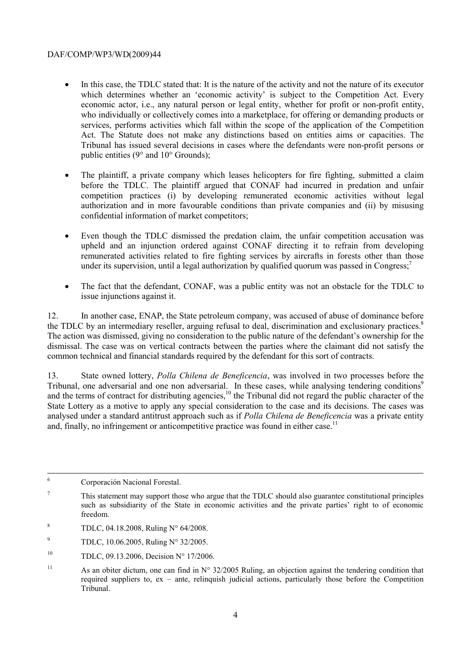### DAF/COMP/WP3/WD(2009)44

- In this case, the TDLC stated that: It is the nature of the activity and not the nature of its executor which determines whether an 'economic activity' is subject to the Competition Act. Every economic actor, i.e., any natural person or legal entity, whether for profit or non-profit entity, who individually or collectively comes into a marketplace, for offering or demanding products or services, performs activities which fall within the scope of the application of the Competition Act. The Statute does not make any distinctions based on entities aims or capacities. The Tribunal has issued several decisions in cases where the defendants were non-profit persons or public entities (9° and 10° Grounds);
- The plaintiff, a private company which leases helicopters for fire fighting, submitted a claim before the TDLC. The plaintiff argued that CONAF had incurred in predation and unfair competition practices (i) by developing remunerated economic activities without legal authorization and in more favourable conditions than private companies and (ii) by misusing confidential information of market competitors;
- Even though the TDLC dismissed the predation claim, the unfair competition accusation was upheld and an injunction ordered against CONAF directing it to refrain from developing remunerated activities related to fire fighting services by aircrafts in forests other than those under its supervision, until a legal authorization by qualified quorum was passed in Congress;<sup>7</sup>
- The fact that the defendant, CONAF, was a public entity was not an obstacle for the TDLC to issue injunctions against it.

12. In another case, ENAP, the State petroleum company, was accused of abuse of dominance before the TDLC by an intermediary reseller, arguing refusal to deal, discrimination and exclusionary practices.<sup>8</sup> The action was dismissed, giving no consideration to the public nature of the defendant's ownership for the dismissal. The case was on vertical contracts between the parties where the claimant did not satisfy the common technical and financial standards required by the defendant for this sort of contracts.

13. State owned lottery, *Polla Chilena de Beneficencia*, was involved in two processes before the Tribunal, one adversarial and one non adversarial. In these cases, while analysing tendering conditions<sup>9</sup> and the terms of contract for distributing agencies,<sup>10</sup> the Tribunal did not regard the public character of the State Lottery as a motive to apply any special consideration to the case and its decisions. The cases was analysed under a standard antitrust approach such as if *Polla Chilena de Beneficencia* was a private entity and, finally, no infringement or anticompetitive practice was found in either case.<sup>11</sup>

 $\frac{1}{6}$ Corporación Nacional Forestal.

- 8 TDLC, 04.18.2008, Ruling N° 64/2008.
- $\overline{Q}$ TDLC, 10.06.2005, Ruling N° 32/2005.
- <sup>10</sup> TDLC, 09.13.2006, Decision N° 17/2006.

<sup>7</sup> This statement may support those who argue that the TDLC should also guarantee constitutional principles such as subsidiarity of the State in economic activities and the private parties' right to of economic freedom.

<sup>&</sup>lt;sup>11</sup> As an obiter dictum, one can find in  $N^{\circ}$  32/2005 Ruling, an objection against the tendering condition that required suppliers to, ex – ante, relinquish judicial actions, particularly those before the Competition Tribunal.